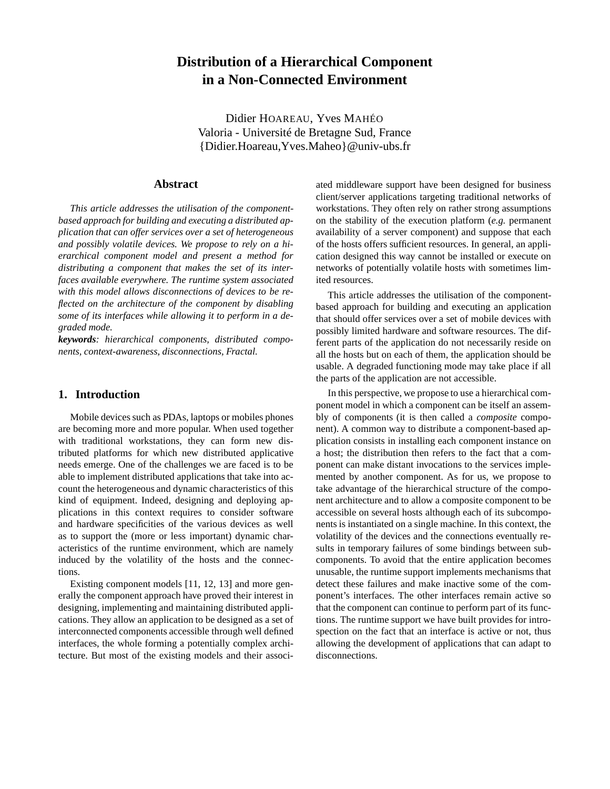# **Distribution of a Hierarchical Component in a Non-Connected Environment**

Didier HOAREAU, Yves MAHÉO Valoria - Université de Bretagne Sud, France {Didier.Hoareau,Yves.Maheo}@univ-ubs.fr

## **Abstract**

*This article addresses the utilisation of the componentbased approach for building and executing a distributed application that can offer services over a set of heterogeneous and possibly volatile devices. We propose to rely on a hierarchical component model and present a method for distributing a component that makes the set of its interfaces available everywhere. The runtime system associated with this model allows disconnections of devices to be reflected on the architecture of the component by disabling some of its interfaces while allowing it to perform in a degraded mode.*

*keywords: hierarchical components, distributed components, context-awareness, disconnections, Fractal.*

# **1. Introduction**

Mobile devices such as PDAs, laptops or mobiles phones are becoming more and more popular. When used together with traditional workstations, they can form new distributed platforms for which new distributed applicative needs emerge. One of the challenges we are faced is to be able to implement distributed applications that take into account the heterogeneous and dynamic characteristics of this kind of equipment. Indeed, designing and deploying applications in this context requires to consider software and hardware specificities of the various devices as well as to support the (more or less important) dynamic characteristics of the runtime environment, which are namely induced by the volatility of the hosts and the connections.

Existing component models [11, 12, 13] and more generally the component approach have proved their interest in designing, implementing and maintaining distributed applications. They allow an application to be designed as a set of interconnected components accessible through well defined interfaces, the whole forming a potentially complex architecture. But most of the existing models and their associ-

ated middleware support have been designed for business client/server applications targeting traditional networks of workstations. They often rely on rather strong assumptions on the stability of the execution platform (*e.g.* permanent availability of a server component) and suppose that each of the hosts offers sufficient resources. In general, an application designed this way cannot be installed or execute on networks of potentially volatile hosts with sometimes limited resources.

This article addresses the utilisation of the componentbased approach for building and executing an application that should offer services over a set of mobile devices with possibly limited hardware and software resources. The different parts of the application do not necessarily reside on all the hosts but on each of them, the application should be usable. A degraded functioning mode may take place if all the parts of the application are not accessible.

In this perspective, we propose to use a hierarchical component model in which a component can be itself an assembly of components (it is then called a *composite* component). A common way to distribute a component-based application consists in installing each component instance on a host; the distribution then refers to the fact that a component can make distant invocations to the services implemented by another component. As for us, we propose to take advantage of the hierarchical structure of the component architecture and to allow a composite component to be accessible on several hosts although each of its subcomponents is instantiated on a single machine. In this context, the volatility of the devices and the connections eventually results in temporary failures of some bindings between subcomponents. To avoid that the entire application becomes unusable, the runtime support implements mechanisms that detect these failures and make inactive some of the component's interfaces. The other interfaces remain active so that the component can continue to perform part of its functions. The runtime support we have built provides for introspection on the fact that an interface is active or not, thus allowing the development of applications that can adapt to disconnections.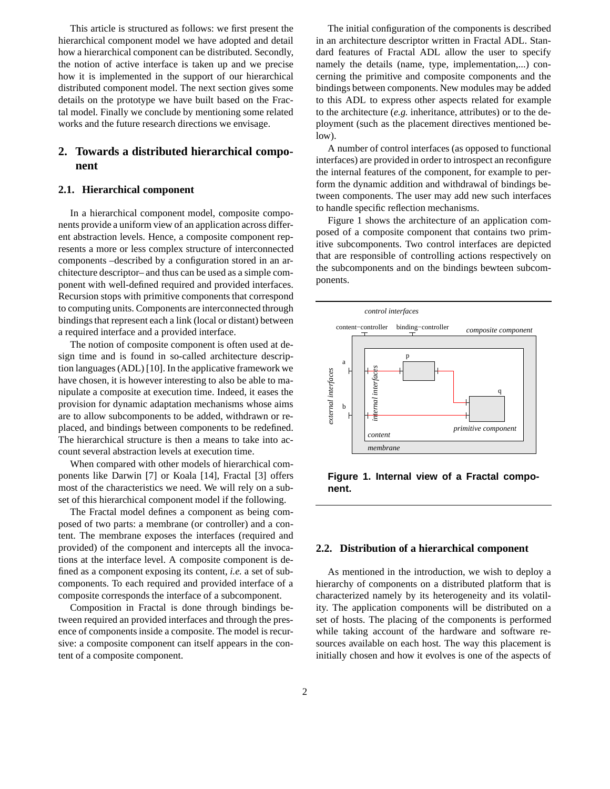This article is structured as follows: we first present the hierarchical component model we have adopted and detail how a hierarchical component can be distributed. Secondly, the notion of active interface is taken up and we precise how it is implemented in the support of our hierarchical distributed component model. The next section gives some details on the prototype we have built based on the Fractal model. Finally we conclude by mentioning some related works and the future research directions we envisage.

# **2. Towards a distributed hierarchical component**

#### **2.1. Hierarchical component**

In a hierarchical component model, composite components provide a uniform view of an application across different abstraction levels. Hence, a composite component represents a more or less complex structure of interconnected components –described by a configuration stored in an architecture descriptor– and thus can be used as a simple component with well-defined required and provided interfaces. Recursion stops with primitive components that correspond to computing units. Components are interconnected through bindings that represent each a link (local or distant) between a required interface and a provided interface.

The notion of composite component is often used at design time and is found in so-called architecture description languages(ADL) [10]. In the applicative framework we have chosen, it is however interesting to also be able to manipulate a composite at execution time. Indeed, it eases the provision for dynamic adaptation mechanisms whose aims are to allow subcomponents to be added, withdrawn or replaced, and bindings between components to be redefined. The hierarchical structure is then a means to take into account several abstraction levels at execution time.

When compared with other models of hierarchical components like Darwin [7] or Koala [14], Fractal [3] offers most of the characteristics we need. We will rely on a subset of this hierarchical component model if the following.

The Fractal model defines a component as being composed of two parts: a membrane (or controller) and a content. The membrane exposes the interfaces (required and provided) of the component and intercepts all the invocations at the interface level. A composite component is defined as a component exposing its content, *i.e.* a set of subcomponents. To each required and provided interface of a composite corresponds the interface of a subcomponent.

Composition in Fractal is done through bindings between required an provided interfaces and through the presence of components inside a composite. The model is recursive: a composite component can itself appears in the content of a composite component.

The initial configuration of the components is described in an architecture descriptor written in Fractal ADL. Standard features of Fractal ADL allow the user to specify namely the details (name, type, implementation,...) concerning the primitive and composite components and the bindings between components. New modules may be added to this ADL to express other aspects related for example to the architecture (*e.g.* inheritance, attributes) or to the deployment (such as the placement directives mentioned below).

A number of control interfaces (as opposed to functional interfaces) are provided in order to introspect an reconfigure the internal features of the component, for example to perform the dynamic addition and withdrawal of bindings between components. The user may add new such interfaces to handle specific reflection mechanisms.

Figure 1 shows the architecture of an application composed of a composite component that contains two primitive subcomponents. Two control interfaces are depicted that are responsible of controlling actions respectively on the subcomponents and on the bindings bewteen subcomponents.



**Figure 1. Internal view of a Fractal component.**

#### **2.2. Distribution of a hierarchical component**

As mentioned in the introduction, we wish to deploy a hierarchy of components on a distributed platform that is characterized namely by its heterogeneity and its volatility. The application components will be distributed on a set of hosts. The placing of the components is performed while taking account of the hardware and software resources available on each host. The way this placement is initially chosen and how it evolves is one of the aspects of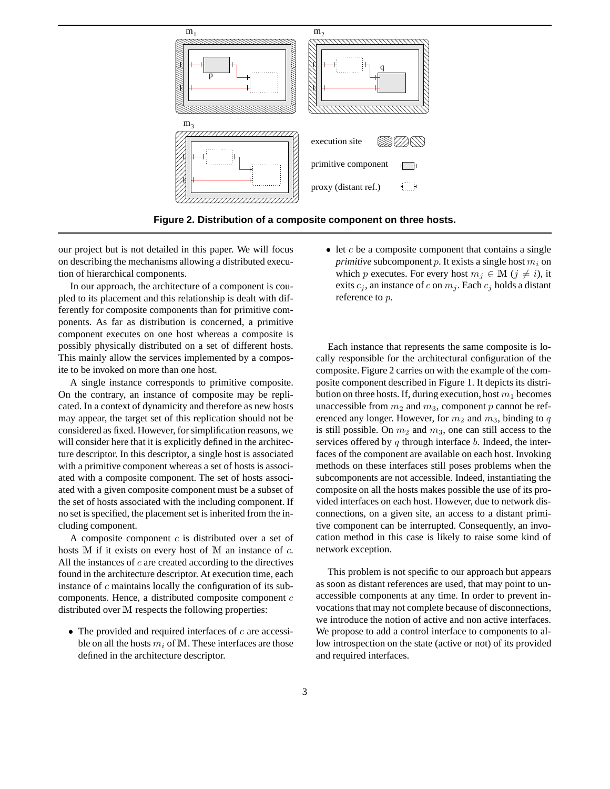

**Figure 2. Distribution of a composite component on three hosts.**

our project but is not detailed in this paper. We will focus on describing the mechanisms allowing a distributed execution of hierarchical components.

In our approach, the architecture of a component is coupled to its placement and this relationship is dealt with differently for composite components than for primitive components. As far as distribution is concerned, a primitive component executes on one host whereas a composite is possibly physically distributed on a set of different hosts. This mainly allow the services implemented by a composite to be invoked on more than one host.

A single instance corresponds to primitive composite. On the contrary, an instance of composite may be replicated. In a context of dynamicity and therefore as new hosts may appear, the target set of this replication should not be considered as fixed. However, forsimplification reasons, we will consider here that it is explicitly defined in the architecture descriptor. In this descriptor, a single host is associated with a primitive component whereas a set of hosts is associated with a composite component. The set of hosts associated with a given composite component must be a subset of the set of hosts associated with the including component. If no set is specified, the placement set is inherited from the including component.

A composite component  $c$  is distributed over a set of hosts  $M$  if it exists on every host of  $M$  an instance of  $c$ . All the instances of  $c$  are created according to the directives found in the architecture descriptor. At execution time, each instance of  $c$  maintains locally the configuration of its subcomponents. Hence, a distributed composite component  $c$ distributed over M respects the following properties:

• The provided and required interfaces of  $c$  are accessible on all the hosts  $m_i$  of M. These interfaces are those defined in the architecture descriptor.

 $\bullet$  let c be a composite component that contains a single *primitive* subcomponent p. It exists a single host  $m_i$  on which p executes. For every host  $m_j \in \mathbb{M}$  ( $j \neq i$ ), it exits  $c_i$ , an instance of c on  $m_i$ . Each  $c_i$  holds a distant reference to p.

Each instance that represents the same composite is locally responsible for the architectural configuration of the composite. Figure 2 carries on with the example of the composite component described in Figure 1. It depicts its distribution on three hosts. If, during execution, host  $m_1$  becomes unaccessible from  $m_2$  and  $m_3$ , component p cannot be referenced any longer. However, for  $m_2$  and  $m_3$ , binding to q is still possible. On  $m_2$  and  $m_3$ , one can still access to the services offered by  $q$  through interface  $b$ . Indeed, the interfaces of the component are available on each host. Invoking methods on these interfaces still poses problems when the subcomponents are not accessible. Indeed, instantiating the composite on all the hosts makes possible the use of its provided interfaces on each host. However, due to network disconnections, on a given site, an access to a distant primitive component can be interrupted. Consequently, an invocation method in this case is likely to raise some kind of network exception.

This problem is not specific to our approach but appears as soon as distant references are used, that may point to unaccessible components at any time. In order to prevent invocations that may not complete because of disconnections, we introduce the notion of active and non active interfaces. We propose to add a control interface to components to allow introspection on the state (active or not) of its provided and required interfaces.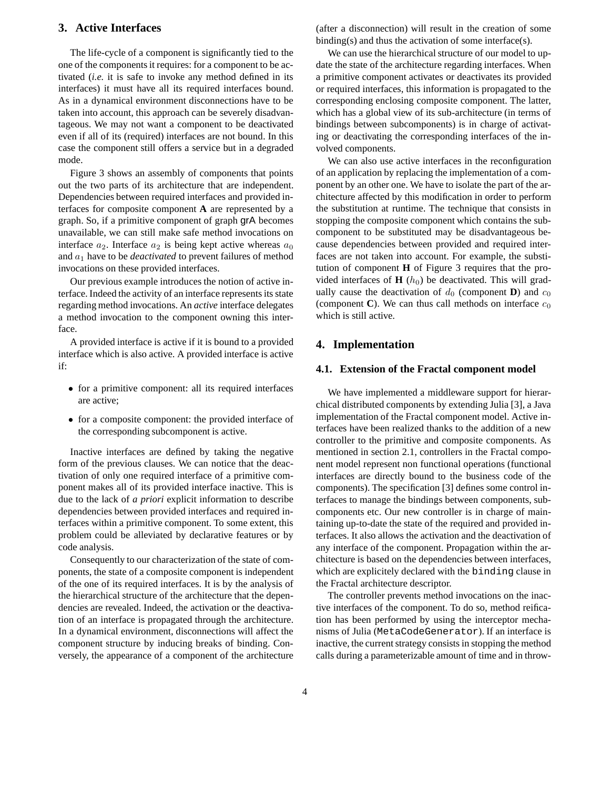# **3. Active Interfaces**

The life-cycle of a component is significantly tied to the one of the components it requires: for a component to be activated (*i.e.* it is safe to invoke any method defined in its interfaces) it must have all its required interfaces bound. As in a dynamical environment disconnections have to be taken into account, this approach can be severely disadvantageous. We may not want a component to be deactivated even if all of its (required) interfaces are not bound. In this case the component still offers a service but in a degraded mode.

Figure 3 shows an assembly of components that points out the two parts of its architecture that are independent. Dependencies between required interfaces and provided interfaces for composite component **A** are represented by a graph. So, if a primitive component of graph grA becomes unavailable, we can still make safe method invocations on interface  $a_2$ . Interface  $a_2$  is being kept active whereas  $a_0$ and  $a_1$  have to be *deactivated* to prevent failures of method invocations on these provided interfaces.

Our previous example introduces the notion of active interface. Indeed the activity of an interface representsits state regarding method invocations. An *active* interface delegates a method invocation to the component owning this interface.

A provided interface is active if it is bound to a provided interface which is also active. A provided interface is active if:

- for a primitive component: all its required interfaces are active;
- for a composite component: the provided interface of the corresponding subcomponent is active.

Inactive interfaces are defined by taking the negative form of the previous clauses. We can notice that the deactivation of only one required interface of a primitive component makes all of its provided interface inactive. This is due to the lack of *a priori* explicit information to describe dependencies between provided interfaces and required interfaces within a primitive component. To some extent, this problem could be alleviated by declarative features or by code analysis.

Consequently to our characterization of the state of components, the state of a composite component is independent of the one of its required interfaces. It is by the analysis of the hierarchical structure of the architecture that the dependencies are revealed. Indeed, the activation or the deactivation of an interface is propagated through the architecture. In a dynamical environment, disconnections will affect the component structure by inducing breaks of binding. Conversely, the appearance of a component of the architecture

(after a disconnection) will result in the creation of some binding(s) and thus the activation of some interface(s).

We can use the hierarchical structure of our model to update the state of the architecture regarding interfaces. When a primitive component activates or deactivates its provided or required interfaces, this information is propagated to the corresponding enclosing composite component. The latter, which has a global view of its sub-architecture (in terms of bindings between subcomponents) is in charge of activating or deactivating the corresponding interfaces of the involved components.

We can also use active interfaces in the reconfiguration of an application by replacing the implementation of a component by an other one. We have to isolate the part of the architecture affected by this modification in order to perform the substitution at runtime. The technique that consists in stopping the composite component which contains the subcomponent to be substituted may be disadvantageous because dependencies between provided and required interfaces are not taken into account. For example, the substitution of component **H** of Figure 3 requires that the provided interfaces of  $\mathbf{H}$  ( $h_0$ ) be deactivated. This will gradually cause the deactivation of  $d_0$  (component **D**) and  $c_0$ (component **C**). We can thus call methods on interface  $c_0$ which is still active.

# **4. Implementation**

#### **4.1. Extension of the Fractal component model**

We have implemented a middleware support for hierarchical distributed components by extending Julia [3], a Java implementation of the Fractal component model. Active interfaces have been realized thanks to the addition of a new controller to the primitive and composite components. As mentioned in section 2.1, controllers in the Fractal component model represent non functional operations (functional interfaces are directly bound to the business code of the components). The specification [3] defines some control interfaces to manage the bindings between components, subcomponents etc. Our new controller is in charge of maintaining up-to-date the state of the required and provided interfaces. It also allows the activation and the deactivation of any interface of the component. Propagation within the architecture is based on the dependencies between interfaces, which are explicitely declared with the binding clause in the Fractal architecture descriptor.

The controller prevents method invocations on the inactive interfaces of the component. To do so, method reification has been performed by using the interceptor mechanisms of Julia (MetaCodeGenerator). If an interface is inactive, the current strategy consists in stopping the method calls during a parameterizable amount of time and in throw-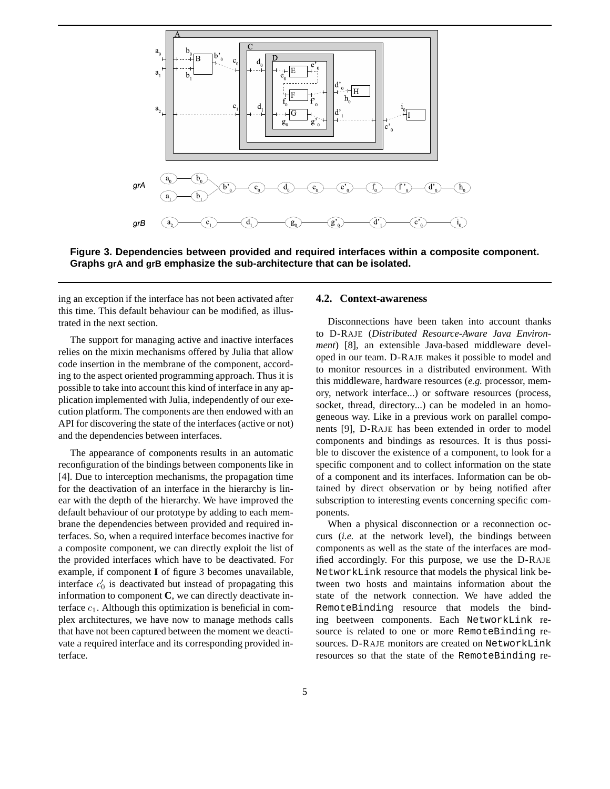

**Figure 3. Dependencies between provided and required interfaces within a composite component. Graphs grA and grB emphasize the sub-architecture that can be isolated.**

ing an exception if the interface has not been activated after this time. This default behaviour can be modified, as illustrated in the next section.

The support for managing active and inactive interfaces relies on the mixin mechanisms offered by Julia that allow code insertion in the membrane of the component, according to the aspect oriented programming approach. Thus it is possible to take into account this kind of interface in any application implemented with Julia, independently of our execution platform. The components are then endowed with an API for discovering the state of the interfaces (active or not) and the dependencies between interfaces.

The appearance of components results in an automatic reconfiguration of the bindings between components like in [4]. Due to interception mechanisms, the propagation time for the deactivation of an interface in the hierarchy is linear with the depth of the hierarchy. We have improved the default behaviour of our prototype by adding to each membrane the dependencies between provided and required interfaces. So, when a required interface becomes inactive for a composite component, we can directly exploit the list of the provided interfaces which have to be deactivated. For example, if component **I** of figure 3 becomes unavailable, interface  $c'_0$  is deactivated but instead of propagating this information to component **C**, we can directly deactivate interface  $c_1$ . Although this optimization is beneficial in complex architectures, we have now to manage methods calls that have not been captured between the moment we deactivate a required interface and its corresponding provided interface.

#### **4.2. Context-awareness**

Disconnections have been taken into account thanks to D-RAJE (*Distributed Resource-Aware Java Environment*) [8], an extensible Java-based middleware developed in our team. D-RAJE makes it possible to model and to monitor resources in a distributed environment. With this middleware, hardware resources (*e.g.* processor, memory, network interface...) or software resources (process, socket, thread, directory...) can be modeled in an homogeneous way. Like in a previous work on parallel components [9], D-RAJE has been extended in order to model components and bindings as resources. It is thus possible to discover the existence of a component, to look for a specific component and to collect information on the state of a component and its interfaces. Information can be obtained by direct observation or by being notified after subscription to interesting events concerning specific components.

When a physical disconnection or a reconnection occurs (*i.e.* at the network level), the bindings between components as well as the state of the interfaces are modified accordingly. For this purpose, we use the D-RAJE NetworkLink resource that models the physical link between two hosts and maintains information about the state of the network connection. We have added the RemoteBinding resource that models the binding beetween components. Each NetworkLink resource is related to one or more RemoteBinding resources. D-RAJE monitors are created on NetworkLink resources so that the state of the RemoteBinding re-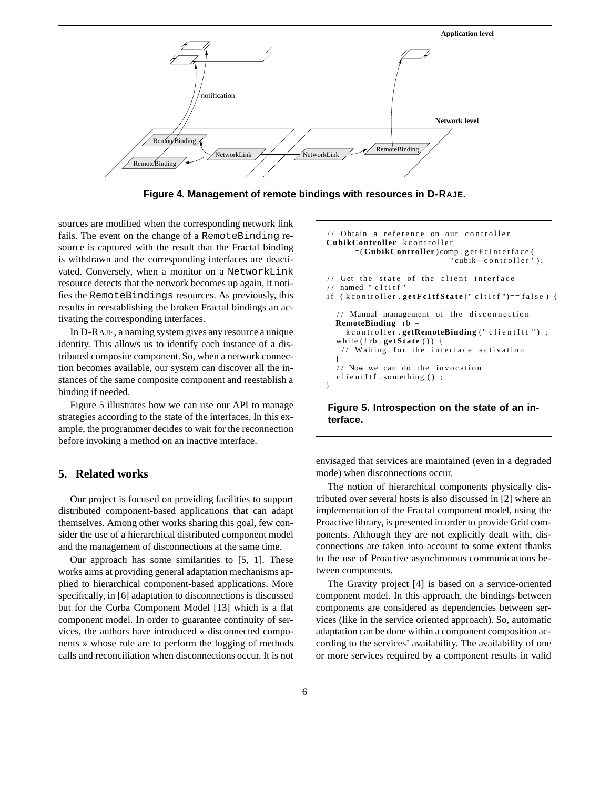

**Figure 4. Management of remote bindings with resources in D-RAJE.**

sources are modified when the corresponding network link fails. The event on the change of a RemoteBinding resource is captured with the result that the Fractal binding is withdrawn and the corresponding interfaces are deactivated. Conversely, when a monitor on a NetworkLink resource detects that the network becomes up again, it notifies the RemoteBindings resources. As previously, this results in reestablishing the broken Fractal bindings an activating the corresponding interfaces.

In D-RAJE, a naming system gives any resource a unique identity. This allows us to identify each instance of a distributed composite component. So, when a network connection becomes available, our system can discover all the instances of the same composite component and reestablish a binding if needed.

Figure 5 illustrates how we can use our API to manage strategies according to the state of the interfaces. In this example, the programmer decides to wait for the reconnection before invoking a method on an inactive interface.

## **5. Related works**

Our project is focused on providing facilities to support distributed component-based applications that can adapt themselves. Among other works sharing this goal, few consider the use of a hierarchical distributed component model and the management of disconnections at the same time.

Our approach has some similarities to [5, 1]. These works aims at providing general adaptation mechanisms applied to hierarchical component-based applications. More specifically, in [6] adaptation to disconnections is discussed but for the Corba Component Model [13] which is a flat component model. In order to guarantee continuity of services, the authors have introduced « disconnected components » whose role are to perform the logging of methods calls and reconciliation when disconnections occur. It is not

```
// Obtain a reference on our controller
CubikController kcontroller
       = Cubik Controller ) comp. get F c Interface (
                                 " cubik – c o n t r o l l e r " ) ;
// Get the state of the client interface
\frac{1}{\sqrt{2}} named " c l t I t f
i f ( k c o n t r o l l e r . g e t F c It f S t a t e ( " c l t I t f " )== f a l s e ) {
   // Manual management of the disconnection
  RemoteBinding rb =
     k controller.getRemoteBinding ("clientItf");
  k while (!rb. getState ()) {
    // Waiting for the interface activation
  }
   // Now we can do the invocationclientItf.something ();
}
```
## **Figure 5. Introspection on the state of an interface.**

envisaged that services are maintained (even in a degraded mode) when disconnections occur.

The notion of hierarchical components physically distributed over several hosts is also discussed in [2] where an implementation of the Fractal component model, using the Proactive library, is presented in order to provide Grid components. Although they are not explicitly dealt with, disconnections are taken into account to some extent thanks to the use of Proactive asynchronous communications between components.

The Gravity project [4] is based on a service-oriented component model. In this approach, the bindings between components are considered as dependencies between services (like in the service oriented approach). So, automatic adaptation can be done within a component composition according to the services' availability. The availability of one or more services required by a component results in valid